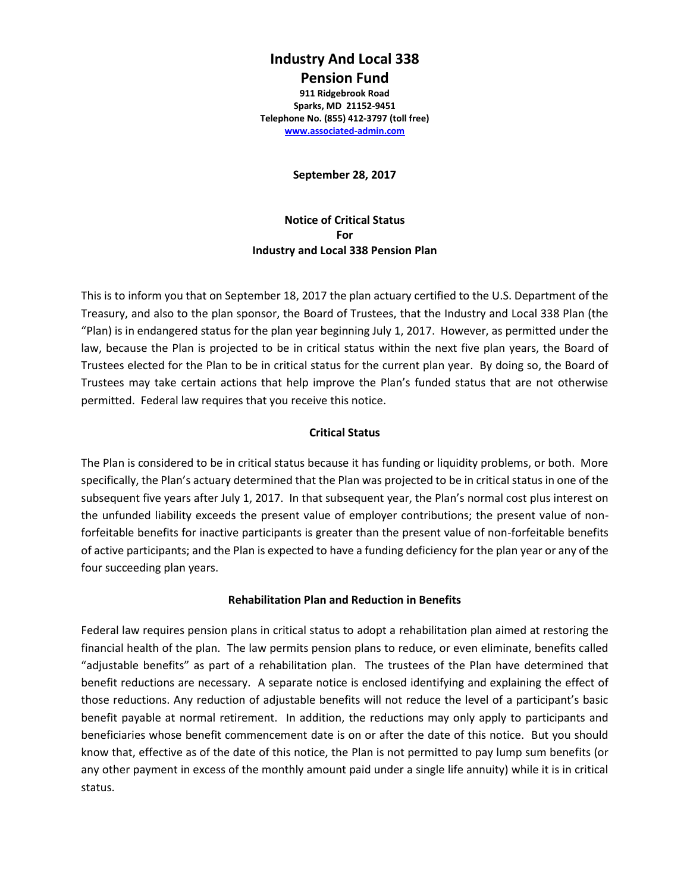# **Industry And Local 338 Pension Fund**

**911 Ridgebrook Road Sparks, MD 21152-9451 Telephone No. (855) 412-3797 (toll free) [www.associated-admin.com](http://www.associated-admin.com/)**

**September 28, 2017**

**Notice of Critical Status For Industry and Local 338 Pension Plan**

This is to inform you that on September 18, 2017 the plan actuary certified to the U.S. Department of the Treasury, and also to the plan sponsor, the Board of Trustees, that the Industry and Local 338 Plan (the "Plan) is in endangered status for the plan year beginning July 1, 2017. However, as permitted under the law, because the Plan is projected to be in critical status within the next five plan years, the Board of Trustees elected for the Plan to be in critical status for the current plan year. By doing so, the Board of Trustees may take certain actions that help improve the Plan's funded status that are not otherwise permitted. Federal law requires that you receive this notice.

#### **Critical Status**

The Plan is considered to be in critical status because it has funding or liquidity problems, or both. More specifically, the Plan's actuary determined that the Plan was projected to be in critical status in one of the subsequent five years after July 1, 2017. In that subsequent year, the Plan's normal cost plus interest on the unfunded liability exceeds the present value of employer contributions; the present value of nonforfeitable benefits for inactive participants is greater than the present value of non-forfeitable benefits of active participants; and the Plan is expected to have a funding deficiency for the plan year or any of the four succeeding plan years.

#### **Rehabilitation Plan and Reduction in Benefits**

Federal law requires pension plans in critical status to adopt a rehabilitation plan aimed at restoring the financial health of the plan. The law permits pension plans to reduce, or even eliminate, benefits called "adjustable benefits" as part of a rehabilitation plan. The trustees of the Plan have determined that benefit reductions are necessary. A separate notice is enclosed identifying and explaining the effect of those reductions. Any reduction of adjustable benefits will not reduce the level of a participant's basic benefit payable at normal retirement. In addition, the reductions may only apply to participants and beneficiaries whose benefit commencement date is on or after the date of this notice. But you should know that, effective as of the date of this notice, the Plan is not permitted to pay lump sum benefits (or any other payment in excess of the monthly amount paid under a single life annuity) while it is in critical status.